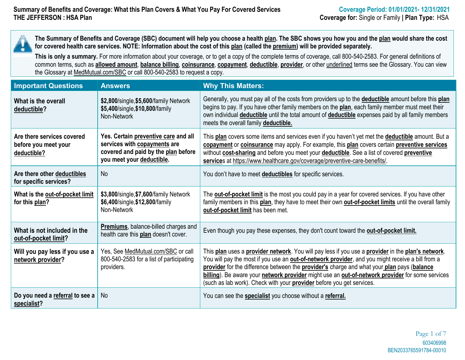**The Summary of Benefits and Coverage (SBC) document will help you choose a health plan. The SBC shows you how you and the plan would share the cost for covered health care services. NOTE: Information about the cost of this plan (called the premium) will be provided separately.**

This is only a summary. For more information about your coverage, or to get a copy of the complete terms of coverage, call 800-540-2583. For general definitions of common terms, such as **allowed amount**, **balance billing**, **coinsurance**, **copayment**, **deductible**, **provider**, or other underlined terms see the Glossary. You can view the Glossary at MedMutual.com/SBC or call 800-540-2583 to request a copy.

| <b>Important Questions</b>                                        | <b>Answers</b>                                                                                                                           | <b>Why This Matters:</b>                                                                                                                                                                                                                                                                                                                                                                                                                                                                       |
|-------------------------------------------------------------------|------------------------------------------------------------------------------------------------------------------------------------------|------------------------------------------------------------------------------------------------------------------------------------------------------------------------------------------------------------------------------------------------------------------------------------------------------------------------------------------------------------------------------------------------------------------------------------------------------------------------------------------------|
| What is the overall<br>deductible?                                | \$2,800/single, \$5,600/family Network<br>\$5,400/single, \$10,800/family<br>Non-Network                                                 | Generally, you must pay all of the costs from providers up to the deductible amount before this plan<br>begins to pay. If you have other family members on the plan, each family member must meet their<br>own individual <b>deductible</b> until the total amount of <b>deductible</b> expenses paid by all family members<br>meets the overall family deductible.                                                                                                                            |
| Are there services covered<br>before you meet your<br>deductible? | Yes. Certain preventive care and all<br>services with copayments are<br>covered and paid by the plan before<br>you meet your deductible. | This plan covers some items and services even if you haven't yet met the <b>deductible</b> amount. But a<br>copayment or coinsurance may apply. For example, this plan covers certain preventive services<br>without cost-sharing and before you meet your deductible. See a list of covered preventive<br>services at https://www.healthcare.gov/coverage/preventive-care-benefits/.                                                                                                          |
| Are there other deductibles<br>for specific services?             | <b>No</b>                                                                                                                                | You don't have to meet <b>deductibles</b> for specific services.                                                                                                                                                                                                                                                                                                                                                                                                                               |
| What is the out-of-pocket limit<br>for this plan?                 | \$3,800/single, \$7,600/family Network<br>\$6,400/single, \$12,800/family<br>Non-Network                                                 | The <b>out-of-pocket limit</b> is the most you could pay in a year for covered services. If you have other<br>family members in this plan, they have to meet their own <b>out-of-pocket limits</b> until the overall family<br>out-of-pocket limit has been met.                                                                                                                                                                                                                               |
| What is not included in the<br>out-of-pocket limit?               | Premiums, balance-billed charges and<br>health care this plan doesn't cover.                                                             | Even though you pay these expenses, they don't count toward the out-of-pocket limit.                                                                                                                                                                                                                                                                                                                                                                                                           |
| Will you pay less if you use a<br>network provider?               | Yes, See MedMutual.com/SBC or call<br>800-540-2583 for a list of participating<br>providers.                                             | This plan uses a provider network. You will pay less if you use a provider in the plan's network.<br>You will pay the most if you use an <b>out-of-network provider</b> , and you might receive a bill from a<br>provider for the difference between the provider's charge and what your plan pays (balance<br>billing). Be aware your network provider might use an out-of-network provider for some services<br>(such as lab work). Check with your <b>provider</b> before you get services. |
| Do you need a referral to see a<br>specialist?                    | No                                                                                                                                       | You can see the <b>specialist</b> you choose without a referral.                                                                                                                                                                                                                                                                                                                                                                                                                               |

603406998 BEN2033765591784-00010 Page 1 of 7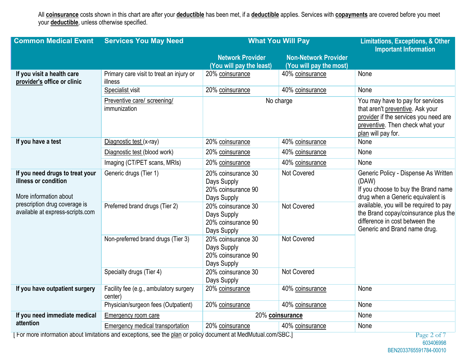All **coinsurance** costs shown in this chart are after your **deductible** has been met, if a **deductible** applies. Services with **copayments** are covered before you meet your **deductible**, unless otherwise specified.

| <b>Common Medical Event</b>                                                                                                                            | <b>Services You May Need</b>                                                                                  | <b>What You Will Pay</b>                                               | <b>Limitations, Exceptions, &amp; Other</b>            |                                                                                                                                                                         |  |
|--------------------------------------------------------------------------------------------------------------------------------------------------------|---------------------------------------------------------------------------------------------------------------|------------------------------------------------------------------------|--------------------------------------------------------|-------------------------------------------------------------------------------------------------------------------------------------------------------------------------|--|
|                                                                                                                                                        |                                                                                                               | <b>Network Provider</b><br>(You will pay the least)                    | <b>Non-Network Provider</b><br>(You will pay the most) | <b>Important Information</b>                                                                                                                                            |  |
| If you visit a health care<br>provider's office or clinic                                                                                              | Primary care visit to treat an injury or<br>illness                                                           | 20% coinsurance                                                        | 40% coinsurance                                        | None                                                                                                                                                                    |  |
|                                                                                                                                                        | Specialist visit                                                                                              | 20% coinsurance                                                        | 40% coinsurance                                        | None                                                                                                                                                                    |  |
|                                                                                                                                                        | Preventive care/ screening/<br>immunization                                                                   |                                                                        | No charge                                              | You may have to pay for services<br>that aren't preventive. Ask your<br>provider if the services you need are<br>preventive. Then check what your<br>plan will pay for. |  |
| If you have a test                                                                                                                                     | Diagnostic test (x-ray)                                                                                       | 20% coinsurance                                                        | 40% coinsurance                                        | None                                                                                                                                                                    |  |
|                                                                                                                                                        | Diagnostic test (blood work)                                                                                  | 20% coinsurance                                                        | 40% coinsurance                                        | None                                                                                                                                                                    |  |
|                                                                                                                                                        | Imaging (CT/PET scans, MRIs)                                                                                  | 20% coinsurance                                                        | 40% coinsurance                                        | None                                                                                                                                                                    |  |
| If you need drugs to treat your<br>illness or condition<br>More information about<br>prescription drug coverage is<br>available at express-scripts.com | Generic drugs (Tier 1)                                                                                        | 20% coinsurance 30<br>Days Supply<br>20% coinsurance 90<br>Days Supply | Not Covered                                            | Generic Policy - Dispense As Written<br>(DAW)<br>If you choose to buy the Brand name<br>drug when a Generic equivalent is                                               |  |
|                                                                                                                                                        | Preferred brand drugs (Tier 2)                                                                                | 20% coinsurance 30<br>Days Supply<br>20% coinsurance 90<br>Days Supply | Not Covered                                            | available, you will be required to pay<br>the Brand copay/coinsurance plus the<br>difference in cost between the<br>Generic and Brand name drug.                        |  |
|                                                                                                                                                        | Non-preferred brand drugs (Tier 3)                                                                            | 20% coinsurance 30<br>Days Supply<br>20% coinsurance 90<br>Days Supply | <b>Not Covered</b>                                     |                                                                                                                                                                         |  |
|                                                                                                                                                        | Specialty drugs (Tier 4)                                                                                      | 20% coinsurance 30<br>Days Supply                                      | Not Covered                                            |                                                                                                                                                                         |  |
| If you have outpatient surgery                                                                                                                         | Facility fee (e.g., ambulatory surgery<br>center)                                                             | 20% coinsurance                                                        | 40% coinsurance                                        | None                                                                                                                                                                    |  |
|                                                                                                                                                        | Physician/surgeon fees (Outpatient)                                                                           | 20% coinsurance                                                        | 40% coinsurance                                        | None                                                                                                                                                                    |  |
| If you need immediate medical                                                                                                                          | <b>Emergency room care</b>                                                                                    | 20% coinsurance                                                        |                                                        | None                                                                                                                                                                    |  |
| attention                                                                                                                                              | Emergency medical transportation                                                                              | 20% coinsurance                                                        | 40% coinsurance                                        | None                                                                                                                                                                    |  |
|                                                                                                                                                        | For more information about limitations and exceptions, see the plan or policy document at MedMutual.com/SBC.] |                                                                        |                                                        | Page 2 of 7                                                                                                                                                             |  |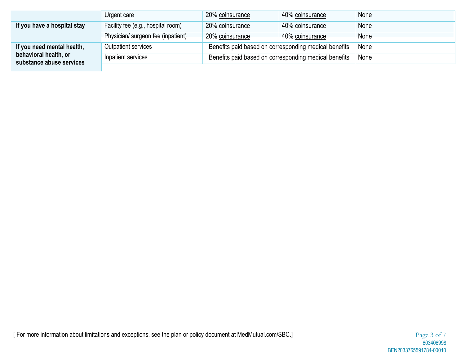|                                                   | Urgent care                        | 20% coinsurance                                       | 40% coinsurance                                       | None |
|---------------------------------------------------|------------------------------------|-------------------------------------------------------|-------------------------------------------------------|------|
| If you have a hospital stay                       | Facility fee (e.g., hospital room) | 20% coinsurance                                       | 40% coinsurance                                       | None |
|                                                   | Physician/ surgeon fee (inpatient) | 20% coinsurance                                       | 40% coinsurance                                       | None |
| If you need mental health,                        | Outpatient services                |                                                       | Benefits paid based on corresponding medical benefits | None |
| behavioral health, or<br>substance abuse services | Inpatient services                 | Benefits paid based on corresponding medical benefits | None                                                  |      |
|                                                   |                                    |                                                       |                                                       |      |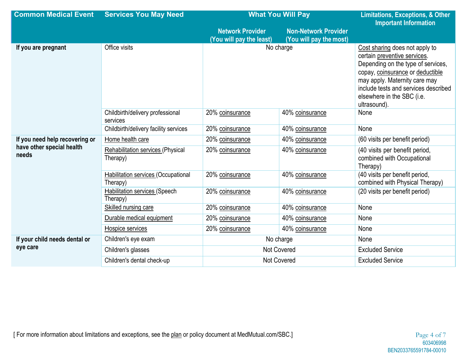| <b>Common Medical Event</b>                                          | <b>Services You May Need</b>                     | <b>What You Will Pay</b>                            | <b>Limitations, Exceptions, &amp; Other</b><br><b>Important Information</b> |                                                                                                                                                                                                                                                                 |
|----------------------------------------------------------------------|--------------------------------------------------|-----------------------------------------------------|-----------------------------------------------------------------------------|-----------------------------------------------------------------------------------------------------------------------------------------------------------------------------------------------------------------------------------------------------------------|
|                                                                      |                                                  | <b>Network Provider</b><br>(You will pay the least) | <b>Non-Network Provider</b><br>(You will pay the most)                      |                                                                                                                                                                                                                                                                 |
| If you are pregnant                                                  | Office visits                                    | No charge                                           |                                                                             | Cost sharing does not apply to<br>certain preventive services.<br>Depending on the type of services,<br>copay, coinsurance or deductible<br>may apply. Maternity care may<br>include tests and services described<br>elsewhere in the SBC (i.e.<br>ultrasound). |
|                                                                      | Childbirth/delivery professional<br>services     | 20% coinsurance                                     | 40% coinsurance                                                             | None                                                                                                                                                                                                                                                            |
|                                                                      | Childbirth/delivery facility services            | 20% coinsurance                                     | 40% coinsurance                                                             | None                                                                                                                                                                                                                                                            |
| If you need help recovering or<br>have other special health<br>needs | Home health care                                 | 20% coinsurance                                     | 40% coinsurance                                                             | (60 visits per benefit period)                                                                                                                                                                                                                                  |
|                                                                      | Rehabilitation services (Physical<br>Therapy)    | 20% coinsurance                                     | 40% coinsurance                                                             | (40 visits per benefit period,<br>combined with Occupational<br>Therapy)                                                                                                                                                                                        |
|                                                                      | Habilitation services (Occupational<br>Therapy)  | 20% coinsurance                                     | 40% coinsurance                                                             | (40 visits per benefit period,<br>combined with Physical Therapy)                                                                                                                                                                                               |
|                                                                      | <b>Habilitation services (Speech</b><br>Therapy) | 20% coinsurance                                     | 40% coinsurance                                                             | (20 visits per benefit period)                                                                                                                                                                                                                                  |
|                                                                      | Skilled nursing care                             | 20% coinsurance                                     | 40% coinsurance                                                             | None                                                                                                                                                                                                                                                            |
|                                                                      | Durable medical equipment                        | 20% coinsurance                                     | 40% coinsurance                                                             | None                                                                                                                                                                                                                                                            |
|                                                                      | Hospice services                                 | 20% coinsurance                                     | 40% coinsurance                                                             | None                                                                                                                                                                                                                                                            |
| If your child needs dental or                                        | Children's eye exam                              | No charge                                           |                                                                             | None                                                                                                                                                                                                                                                            |
| eye care                                                             | Children's glasses                               | <b>Not Covered</b>                                  |                                                                             | <b>Excluded Service</b>                                                                                                                                                                                                                                         |
|                                                                      | Children's dental check-up                       | <b>Not Covered</b>                                  |                                                                             | <b>Excluded Service</b>                                                                                                                                                                                                                                         |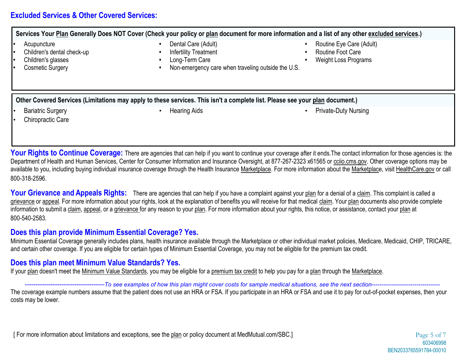# **Excluded Services & Other Covered Services:**

**Services Your Plan Generally Does NOT Cover (Check your policy or plan document for more information and a list of any other excluded services.) •** Acupuncture **•** Dental Care (Adult) **•** Routine Eye Care (Adult) **•** Children's dental check-up **•** Infertility Treatment **•** Routine Foot Care **•** Children's glasses **•** Long-Term Care **•** Weight Loss Programs **•** Non-emergency care when traveling outside the U.S. **Other Covered Services (Limitations may apply to these services. This isn't a complete list. Please see your plan document.)** • Bariatric Surgery • Hearing Aids • Private-Duty Nursing Chiropractic Care

**Your Rights to Continue Coverage:** There are agencies that can help if you want to continue your coverage after it ends. The contact information for those agencies is: the Department of Health and Human Services, Center for Consumer Information and Insurance Oversight, at 877-267-2323 x61565 or cciio.cms.gov. Other coverage options may be available to you, including buying individual insurance coverage through the Health Insurance Marketplace. For more information about the Marketplace, visit HealthCare.gov or call 800-318-2596.

Your Grievance and Appeals Rights: There are agencies that can help if you have a complaint against your plan for a denial of a claim. This complaint is called a grievance or appeal. For more information about your rights, look at the explanation of benefits you will receive for that medical claim. Your plan documents also provide complete information to submit a claim, appeal, or a grievance for any reason to your plan. For more information about your rights, this notice, or assistance, contact your plan at 800-540-2583.

# **Does this plan provide Minimum Essential Coverage? Yes.**

Minimum Essential Coverage generally includes plans, health insurance available through the Marketplace or other individual market policies, Medicare, Medicaid, CHIP, TRICARE, and certain other coverage. If you are eligible for certain types of Minimum Essential Coverage, you may not be eligible for the premium tax credit.

# **Does this plan meet Minimum Value Standards? Yes.**

If your plan doesn't meet the Minimum Value Standards, you may be eligible for a premium tax credit to help you pay for a plan through the Marketplace.

#### -----------To see examples of how this plan might cover costs for sample medical situations, see the next section--

The coverage example numbers assume that the patient does not use an HRA or FSA. If you participate in an HRA or FSA and use it to pay for out-of-pocket expenses, then your costs may be lower.

[ For more information about limitations and exceptions, see the plan or policy document at MedMutual.com/SBC.] Page 5 of 7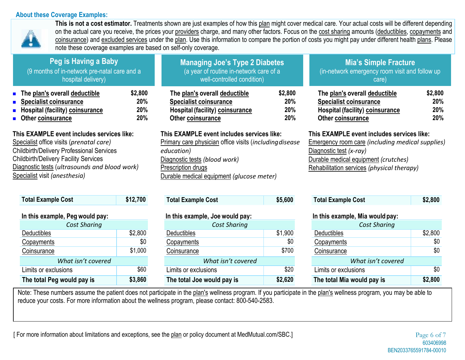#### **About these Coverage Examples:**



**This is not a cost estimator.** Treatments shown are just examples of how this plan might cover medical care. Your actual costs will be different depending on the actual care you receive, the prices your providers charge, and many other factors. Focus on the cost sharing amounts (deductibles, copayments and coinsurance) and excluded services under the plan. Use this information to compare the portion of costs you might pay under different health plans. Please note these coverage examples are based on self-only coverage.

| Peg is Having a Baby<br>(9 months of in-network pre-natal care and a<br>hospital delivery)                                                                                                                                                                                   |                              | <b>Managing Joe's Type 2 Diabetes</b><br>(a year of routine in-network care of a<br>well-controlled condition)                                                                                                          |                              | <b>Mia's Simple Fracture</b><br>(in-network emergency room visit and follow up<br>care)                                                                                                                                  |                              |
|------------------------------------------------------------------------------------------------------------------------------------------------------------------------------------------------------------------------------------------------------------------------------|------------------------------|-------------------------------------------------------------------------------------------------------------------------------------------------------------------------------------------------------------------------|------------------------------|--------------------------------------------------------------------------------------------------------------------------------------------------------------------------------------------------------------------------|------------------------------|
| $\blacksquare$ The plan's overall deductible<br>• Specialist coinsurance<br>■ Hospital (facility) coinsurance<br>• Other coinsurance                                                                                                                                         | \$2,800<br>20%<br>20%<br>20% | The plan's overall deductible<br><b>Specialist coinsurance</b><br><b>Hospital (facility) coinsurance</b><br>Other coinsurance                                                                                           | \$2,800<br>20%<br>20%<br>20% | The plan's overall deductible<br><b>Specialist coinsurance</b><br><b>Hospital (facility) coinsurance</b><br>Other coinsurance                                                                                            | \$2,800<br>20%<br>20%<br>20% |
| This EXAMPLE event includes services like:<br>Specialist office visits (prenatal care)<br><b>Childbirth/Delivery Professional Services</b><br><b>Childbirth/Delivery Facility Services</b><br>Diagnostic tests (ultrasounds and blood work)<br>Specialist visit (anesthesia) |                              | This EXAMPLE event includes services like:<br>Primary care physician office visits (including disease<br>education)<br>Diagnostic tests (blood work)<br>Prescription drugs<br>Durable medical equipment (glucose meter) |                              | This EXAMPLE event includes services like:<br><b>Emergency room care (including medical supplies)</b><br>Diagnostic test $(x-ray)$<br>Durable medical equipment (crutches)<br>Rehabilitation services (physical therapy) |                              |

| <b>Total Example Cost</b>       | \$12,700 |  |  |
|---------------------------------|----------|--|--|
| In this example, Peg would pay: |          |  |  |
| <b>Cost Sharing</b>             |          |  |  |
| Deductibles                     | \$2,800  |  |  |
| Copayments                      | \$0      |  |  |
| Coinsurance                     | \$1,000  |  |  |
| What isn't covered              |          |  |  |
| Limits or exclusions            | \$60     |  |  |
| The total Peg would pay is      | \$3,860  |  |  |

| <b>Total Example Cost</b>       | \$12,700 | <b>Total Example Cost</b>       | \$5,600 | <b>Total Example Cost</b>       | \$2,800 |
|---------------------------------|----------|---------------------------------|---------|---------------------------------|---------|
| In this example, Peg would pay: |          | In this example, Joe would pay: |         | In this example, Mia would pay: |         |
| <b>Cost Sharing</b>             |          | <b>Cost Sharing</b>             |         | <b>Cost Sharing</b>             |         |
| <b>Deductibles</b>              | \$2,800  | <b>Deductibles</b>              | \$1,900 | <b>Deductibles</b>              | \$2,800 |
| Copayments                      | \$0      | Copayments                      | \$0     | Copayments                      | \$0     |
| Coinsurance                     | \$1,000  | Coinsurance                     | \$700   | Coinsurance                     | \$0     |
| What isn't covered              |          | What isn't covered              |         | What isn't covered              |         |
| Limits or exclusions            | \$60     | Limits or exclusions            | \$20    | Limits or exclusions            | \$0     |
|                                 |          |                                 |         |                                 |         |

| <b>Total Example Cost</b> | \$2,800 |
|---------------------------|---------|
|---------------------------|---------|

#### **In this example, Peg would pay: In this example, Joe would pay: In this example, Mia would pay:**

| <b>Cost Sharing</b>        |         |  |  |  |
|----------------------------|---------|--|--|--|
| Deductibles                | \$2,800 |  |  |  |
| Copayments                 | \$0     |  |  |  |
| Coinsurance                | \$0     |  |  |  |
| What isn't covered         |         |  |  |  |
| Limits or exclusions       | \$0     |  |  |  |
| The total Mia would pay is | \$2,800 |  |  |  |

Note: These numbers assume the patient does not participate in the plan's wellness program. If you participate in the plan's wellness program, you may be able to reduce your costs. For more information about the wellness program, please contact: 800-540-2583.

**The total Joe would pay is \$2,620**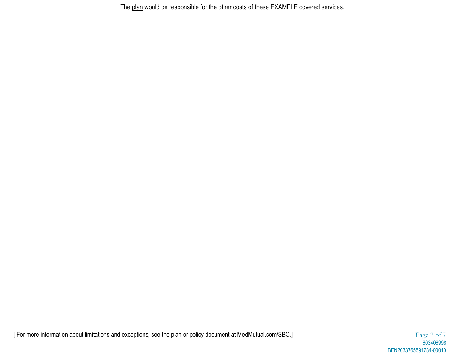The plan would be responsible for the other costs of these EXAMPLE covered services.

[ For more information about limitations and exceptions, see the plan or policy document at MedMutual.com/SBC.] Page 7 of 7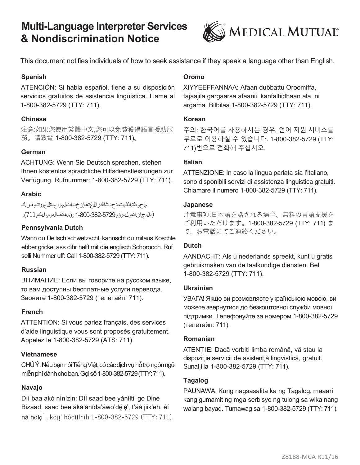# **Multi-Language Interpreter Services & Nondiscrimination Notice**



This document notifies individuals of how to seek assistance if they speak a language other than English.

## **Spanish**

ATENCIÓN: Si habla español, tiene a su disposición servicios gratuitos de asistencia lingüística. Llame al 1-800-382-5729 (TTY: 711).

## **Chinese**

注意:如果您使用繁體中文,您可以免費獲得語言援助服 務。請致電 1-800-382-5729 (TTY: 711)。

## **German**

ACHTUNG: Wenn Sie Deutsch sprechen, stehen Ihnen kostenlos sprachliche Hilfsdienstleistungen zur Verfügung. Rufnummer: 1-800-382-5729 (TTY: 711).

#### **Arabic**

مل حو ظة: إذاكنت ت حدث انكر اللغة، فإن خ دم ات المس الح ذال غوى ةتتو له على الله ( بالم ج ان انص ل بر قم 5729-382-800-1 رقم هانف الصمو ل بكم711).

## **Pennsylvania Dutch**

Wann du Deitsch schwetzscht, kannscht du mitaus Koschte ebber gricke, ass dihr helft mit die englisch Schprooch. Ruf selli Nummer uff: Call 1-800-382-5729 (TTY: 711).

#### **Russian**

ВНИМАНИЕ: Если вы говорите на русском языке, то вам доступны бесплатные услуги перевода. Звоните 1-800-382-5729 (телетайп: 711).

#### **French**

ATTENTION: Si vous parlez français, des services d'aide linguistique vous sont proposés gratuitement. Appelez le 1-800-382-5729 (ATS: 711).

#### **Vietnamese**

CHÚÝ: Nếu bạn nói Tiếng Việt, có các dịch vụ hỗ trợ ngôn ngữ miễnphídànhchobạn.Gọisố1-800-382-5729(TTY:711).

#### **Navajo**

Díí baa akó nínízin: Díí saad bee yáníłti' go Diné Bizaad, saad bee áká'ánída'áwo'dé é', t'áá jiik'eh, éí ná hólǫ´, kojį' hódíílnih 1-800-382-5729 (TTY: 711).

#### **Oromo**

XIYYEEFFANNAA: Afaan dubbattu Oroomiffa, tajaajila gargaarsa afaanii, kanfaltiidhaan ala, ni argama. Bilbilaa 1-800-382-5729 (TTY: 711).

#### **Korean**

주의: 한국어를 사용하시는 경우, 언어 지원 서비스를 무료로 이용하실 수 있습니다. 1-800-382-5729 (TTY: 711)번으로 전화해 주십시오.

#### **Italian**

ATTENZIONE: In caso la lingua parlata sia l'italiano, sono disponibili servizi di assistenza linguistica gratuiti. Chiamare il numero 1-800-382-5729 (TTY: 711).

#### **Japanese**

注意事項:日本語を話される場合、無料の言語支援を ご利用いただけます。1-800-382-5729 (TTY: 711) ま で、お電話にてご連絡ください。

#### **Dutch**

AANDACHT: Als u nederlands spreekt, kunt u gratis gebruikmaken van de taalkundige diensten. Bel 1-800-382-5729 (TTY: 711).

#### **Ukrainian**

УВАГА! Якщо ви розмовляєте українською мовою, ви можете звернутися до безкоштовної служби мовної підтримки. Телефонуйте за номером 1-800-382-5729 (телетайп: 711).

#### **Romanian**

ATENȚIE: Dacă vorbiți limba română, vă stau la dispozit je servicii de asistent ă lingvistică, gratuit. Sunat,i la 1-800-382-5729 (TTY: 711).

#### **Tagalog**

PAUNAWA: Kung nagsasalita ka ng Tagalog, maaari kang gumamit ng mga serbisyo ng tulong sa wika nang walang bayad. Tumawag sa 1-800-382-5729 (TTY: 711).